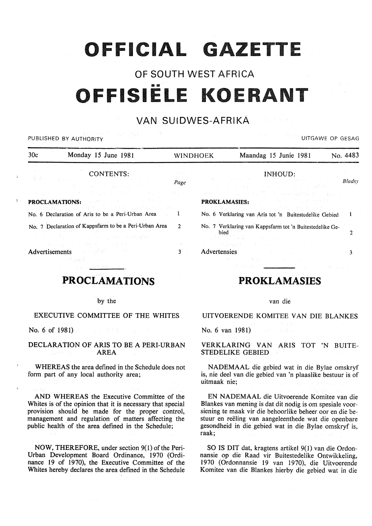# **OFFICIAL GAZETTE**

## OF SOUTH WEST AFRICA FFISIËLE KOERANT

## VAN SUIDWES-AFRIKA

| a sa mga bagayan ng Palawan<br>the control of the control of the control<br>UITGAWE OP GESAG<br>PUBLISHED BY AUTHORITY                                                                                                                                                               |                                     |                                                                                                                                                                                                                                                                             |                                                                                                                                                                              |              |
|--------------------------------------------------------------------------------------------------------------------------------------------------------------------------------------------------------------------------------------------------------------------------------------|-------------------------------------|-----------------------------------------------------------------------------------------------------------------------------------------------------------------------------------------------------------------------------------------------------------------------------|------------------------------------------------------------------------------------------------------------------------------------------------------------------------------|--------------|
| 30c<br>Monday 15 June 1981                                                                                                                                                                                                                                                           | <b>WINDHOEK</b>                     |                                                                                                                                                                                                                                                                             | Maandag 15 Junie 1981<br>No. 4483                                                                                                                                            |              |
| CONTENTS:<br>心様 オイバー ようぶんし<br>a sa tanàna amin'ny faritr'i Nord-Amerika.<br>Ny faritr'ora dia GMT+1.                                                                                                                                                                                 | Page                                |                                                                                                                                                                                                                                                                             | INHOUD: A CONTROLLER STATE OF STREET<br>and the constant and the control of the constant of the constant of the con-                                                         | Bladsy       |
| 医皮肤病 医心包 医心室 医心室 医血管 人名英格兰人姓氏克里<br>(2) 电电子 (2) 计图 3 (2) 计算机系统 (2) 计算机 (2) 的复数形式                                                                                                                                                                                                      |                                     |                                                                                                                                                                                                                                                                             | الموارد والأفاق والمتحال المتحدث والمتحدث والمتحدث والمتحدث والمتحدث والمتحدث<br>어머니는 아니, 나라 아이를 만나고 말씀없이 보니 아주요?                                                            |              |
| <b>PROCLAMATIONS: Experimental construction of the construction</b><br>and provided the second state of the second state of the second state of the second state of                                                                                                                  |                                     | <b>PROKLAMASIES:</b> The contract of the contract of the contract of the contract of the contract of the contract of the contract of the contract of the contract of the contract of the contract of the contract of the contract o<br>그는 화를 가지고 있는 것이 아니라 사람들이 벌인 할아버지 않다. |                                                                                                                                                                              |              |
| No. 6 Declaration of Aris to be a Peri-Urban Area 1                                                                                                                                                                                                                                  |                                     |                                                                                                                                                                                                                                                                             | No. 6 Verklaring van Aris tot 'n Buitestedelike Gebied                                                                                                                       | $\mathbf{1}$ |
| No. 7 Declaration of Kappsfarm to be a Peri-Urban Area<br>$\mathfrak{D}$                                                                                                                                                                                                             |                                     |                                                                                                                                                                                                                                                                             | No. 7 Verklaring van Kappsfarm tot 'n Buitestedelike Ge-<br>bied                                                                                                             |              |
| (2) 2007年1月1日, 1990年1月1日, 1990年1月1日, 1990年                                                                                                                                                                                                                                           |                                     |                                                                                                                                                                                                                                                                             | an in 2003 (Albanya Sultan Barat) and a bailey and a strike strike and a strike strike strike and a                                                                          |              |
| しょうしょちゃんばん いっか 食材 かいこうききょくし<br>Advertisements and the state of the state of the state of the state of the state of the state of the state of the state of the state of the state of the state of the state of the state of the state of the state of the stat<br>- Sethaan 2001 Andr | and the state of the first<br>$3 -$ |                                                                                                                                                                                                                                                                             | A construction of the construction<br>Advertensies and the state of the state of the state of the state of the state of the state of the state of the<br>特别的 手提 化二氯化二氯化二氯化二氯 |              |

## PROCLAMATIONS

#### by the

#### EXECUTIVE COMMITTEE OF THE WHITES

No. 6 of 1981)

#### DECLARATION OF ARIS TO BE A PERI-URBAN AREA

WHEREAS the area defined in the Schedule does not form part of any local authority area;

AND WHEREAS the Executive Committee of the Whites is of the opinion that it is necessary that special provision should be made for the proper control, management and regulation of matters affecting the public health of the area defined in the Schedule;

NOW, THEREFORE, under section 9(1) of the Peri-Urban Development Board Ordinance, 1970 (Ordinance 19 of 1970), the Executive Committee of the Whites hereby declares the area defined in the Schedule

## PROKLAMASIES

#### van die

## UITVOERENDE KOMITEE VAN DIE BLANKES

No. 6 van 1981)

#### VERKLARING VAN ARIS TOT 'N BUITE-STEDELIKE GEBIED

NADEMAAL die gebied wat in die Bylae omskryf is, nie deel van die gebied van 'n plaaslike bestuur is of uitmaak nie;

EN NADEMAAL die Uitvoerende Komitee van die Blankes van mening is dat dit nodig is om spesiale voorsiening te maak vir die behoorlike beheer oor en die bestuur en reëling van aangeleenthede wat die openbare gesondheid in die gebied wat in die Bylae omskryf is, raak;

SO IS DIT dat, kragtens artikel 9(1) van die Ordonnansie op die Raad vir Buitestedelike Ontwikkeling, 1970 (Ordonnansie 19 van 1970), die Uitvoerende Komitee van die Blankes hierby die gebied wat in die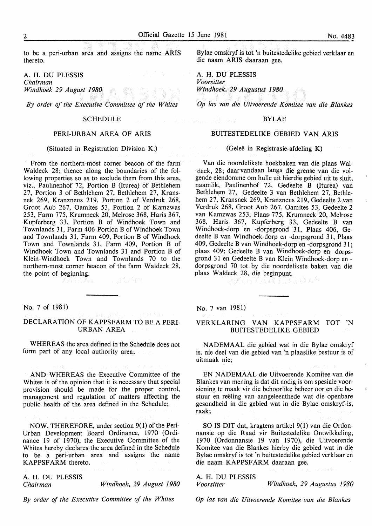to be a peri-urban area and assigns the name ARIS thereto.

A. H. DU PLESSIS *Chairman Windhoek 29 August 1980* 

*By order of the Executive Committee of the Whites* 

#### **SCHEDULE**

#### PERI-URBAN AREA OF ARIS

#### (Situated in Registration Division K.)

From the northern-most corner beacon of the farm Waldeck 28; thence along the boundaries of the following properties so as to exclude them from this area, viz., Paulinenhof 72, Portion B (Iturea) of Bethlehem 27, Portion 3 of Bethlehem 27, Bethlehem 27, Kransnek 269, Kranzneus 219, Portion 2 of Verdruk 268, Groot Aub 267, Oamites 53, Portion 2 of Kamzwas 253, Farm 775, Krumneck 20, Melrose 368, Haris 367, Kupferberg 33, Portion B of Windhoek Town and Townlands 31, Farm 406 Portion B of Windhoek Town and Townlands 31, Farm 409, Portion B of Windhoek Town and Townlands 31, Farm 409, Portion B of Windhoek Town and Townlands 31 and Portion B of Klein-Windhoek Town and Townlands 70 to the northern-most corner beacon of the farm Waldeck 28, the point of beginning.

No. 7 of 1981)

#### DECLARATION OF KAPPSFARM TO BE A PERI-URBAN AREA

WHEREAS the area defined in the Schedule does not form part of any local authority area;

AND WHEREAS the Executive Committee of the Whites is of the opinion that it is necessary that special provision should be made for the proper control, management and regulation of matters affecting the public health of the area defined in the Schedule;

NOW, THEREFORE, under section 9(1) of the Peri-Urban Development Board Ordinance, 1970 (Ordinance 19 of 1970), the Executive Committee of the Whites hereby declares the area defined in the Schedule to be a peri-urban area and assigns the name KAPPSFARM thereto.

A. H. DU PLESSIS *Chairman Windhoek, 29 August 1980* 

*By order of the Executive Committee of the Whites* 

Bylae omskryf is tot 'n buitestedelike gebied verklaar en die naam ARIS daaraan gee.

A. H. DU PLESSIS *Voorsitter Windhoek, 29 Augustus 1980* 

*Op las van die Uitvoerende Komitee van die Blankes* 

#### BYLAE

#### BUITESTEDELIKE GEBIED VAN ARIS

#### (Geleë in Registrasie-afdeling K)

Van die noordelikste hoekbaken van die plaas Waldeck, 28; daarvandaan langs die grense van die volgende eiendomme om hulle uit hierdie gebied uit te sluit, naamlik, Paulinenhof 72, Gedeelte B (Iturea) van Bethlehem 27, Gedeelte 3 van Bethlehem 27, Bethlehem 27, Kransnek 269, Kranzneus 219, Gedeelte 2 van Verdruk 268, Groot Aub 267, Oamites 53, Gedeelte 2 van Kamzwas 253, Plaas, 775, Krumneck 20, Melrose 368, Haris 367, Kupferberg 33, Gedeelte B van Windhoek-dorp en -dorpsgrond 31, Plaas 406, Gedeelte B van Windhoek-dorp en -dorpsgrond 31, Plaas 409, Gedeelte B van Windhoek-dorp en -dorpsgrond 31; plaas 409; Gedeelte B van Windhoek-dorp en -dorpsgrond 31 en Gedeelte B van Klein Windhoek-dorp endorpsgrond 70 tot by die noordelikste baken van die plaas Waldeck 28, die beginpunt.

#### No. 7 van 1981)

#### VERKLARING VAN KAPPSFARM TOT 'N BUITESTEDELIKE GEBIED

NADEMAAL die gebied wat in die Bylae omskryf is, nie dee! van die gebied van 'n plaaslike bestuur is of uitmaak nie;

EN NADEMAAL die Uitvoerende Komitee van die Blankes van mening is dat dit nodig is om spesiale voorsiening te maak vir die behoorlike beheer oor en die bestuur en reëling van aangeleenthede wat die openbare gesondheid in die gebied wat in die Bylae omskryf is,  $\mathsf{raak};$  . The contract of the contract of the contract of the contract of the contract of the contract of the contract of the contract of the contract of the contract of the contract of the contract of the contract of t

SO IS DIT dat, kragtens artikel 9(1) van die Ordonnansie op die Raad vir Buitestedelike Ontwikkeling, 1970 (Ordonnansie 19 van 1970), die Uitvoerende Komitee van die Blankes hierby die gebied wat in die Bylae omskryf is tot 'n buitestedelike gebied verklaar en die naam KAPPSF ARM daaraan gee.

A. H. DU PLESSIS *Voorsitter Windhoek, 29 Augustus 1980* 

*Op las van die Uitvoerende Komitee van die Blankes*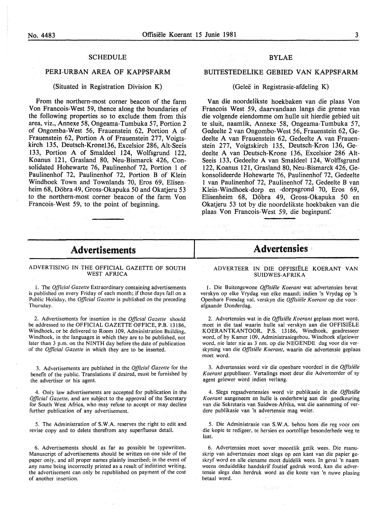#### SCHEDULE

#### PERI-URBAN AREA OF KAPPSFARM

#### (Situated in Registration Division K)

From the northern-most corner beacon of the farm Von Francois-West 59, thence along the boundaries of the following properties so to exclude them from this area, viz., Annexe 58, Ongeama-Tumbuka 57, Portion 2 of Ongomba-West 56, Frauenstein 62, Portion A of Frauenstein 62, Portion A of Frauenstein 277, Voigtskirch 135, Deutsch-Krone136, Excelsior 286, Alt-Seeis 133, Portion A of Smaldeel 124, Wolfsgrund 122, Koanus 121, Grasland 80, Neu-Bismarck 426, Consolidated Hohewarte 76, Paulinenhof 72, Portion 1 of Paulinenhof 72, Paulinenhof 72, Portion B of Klein Windhoek Town and Townlands 70, Eros 69, Elisenheim 68, Döbra 49, Gross-Okapuka 50 and Okatieru 53 to the northern-most corner beacon of the farm Von Francois-West 59, to the point of beginning.

#### BYLAE

#### BUITESTEDELIKE GEBIED VAN KAPPSFARM

#### (Gelee in Registrasie-afdeling K)

Van die noordelikste hoekbaken van die plaas Von Francois West 59, daarvandaan tangs die grense van die volgende eiendomme om hulle uit hierdie gebied uit te sluit, naamlik, Annexe 58, Ongeama-Tumbuka 57, Gedeelte 2 van Ongombo-West 56, Frauenstein 62, Gedeelte A van Frauenstein 62, Gedeelte A van Frauenstein 277, Voigtskirch 135, Deutsch-Kron 136, Gedeelte A van Deutsch-Krone 136, Excelsior 286 Alt-Seeis 133, Gedeelte A van Smaldeel 124, Wolffsgrund 122, Koanus 121, Grasland 80, Neu-Bismarck 426, Gekonsolideerde Hohewarte 76, Paulinenhof 72, Gedeelte 1 van Paulinenhof 72, Paulinenhof 72, Gedeelte B van Klein-Windhoek-dorp en -dorpsgrond 70, Eros 69, Elisenheim 68, Döbra 49, Gross-Okapuka 50 en Okatjeru 53 tot by die noordelikste hoekbaken van die plaas Von Francois-West 59, die beginpunt:

## **Advertisements**

#### ADVERTISING IN THE OFFICIAL GAZETTE OF SOUTH WEST AFRICA

I. The *Official Gazette* Extraordinary containing advertisements is published on every Friday of each month; if those days fall on a Public Holiday. the *Official Gazette* is published on the preceding Thursday.

2. Advertisements for insertion in the *Official Gazette* should be addressed to the OFFICIAL GAZETTE OFFICE, P.B. 13186, Windhoek, or be delivered to Room 109, Administration Building, Windhoek, in the languages in which they are to be published, not later than 3 p.m. on the NINTH day before the date of publication of the *Official Gazette* in which they are to be inserted.

3. Advertisements are published in the *Official Gazette* for the benefit of the public. Translations if desired, must be furnished by the advertiser or his agent.

4. Only law advertisements are accepted for publication in the *Official Gazette,* and are subject to the approval of the Secretary for South West Africa, who may refuse to accept or may decline further publication of any advertisement.

5. The Administration of S.W.A. reserves the right to edit and revise copy and to delete therefrom any superfluous detail.

6. Advertisements should as far as possible be typewritten. Manuscript of advertisements should be written on one side of the paper only. and all proper names plainly inscribed; in the event of .any name being incorrectly printed as a result of indistinct writing, the advertisement can only be republished on payment of the cost of another insertion.

## **Advertensies**

#### ADVERTEER IN DIE OFFISIËLE KOERANT VAN SUIDWES-AFRIKA

1. Die Buitengewone *Offisiiile Koerant* wat advertensies bevat verskyn op elke Vrydag van elke maand; indien 'n Vrydag op 'n Openbare Feesdag val. verskyn die *Offisiiile Koerant* op die voorafgaande Donderdag.

2. Advertensies wat in die *Offisiiile Koerant* geplaas moet word, moet in die taal waarin hulle sal verskyn aan die OFFISIELE KOERANTKANTOOR, P.S. 13186, Windhoek, geadresseer word, of by Kamer 109, Administrasiegebou, Windhoek afgelewer word, nie later nie as 3 nm. op die NEGENDE dag voor die verskyning van die *Offisiiile Koerant,* waarin die advertensie geplaas moet word.

3. Advertensies word vir die openbare voordeel in die *Offisiiile Koerant* gepubliseer. Vertalings moet deur die Adverteerder of sy agent gelewer word indien verlang.

4. Slegs regsadvertensies word vir publikasie in die *Offisiiile Koerant* aangeneem en hulle is onderhewig aan die goedkeuring van die Sekretaris van Suidwes-Afrika, wat die aanneming of verdere publikasie van 'n advertensie mag weier.

5. Die Administrasie van S.W.A. behou hom die reg voor om die kopie te redigeer, te hersien en oortollige besonderhede weg te laat.

6. Advertensies moet sover moontlik getik wees. Die manuskrip van advertensies moet slegs op een kant van die papier geskryf word en aile eiename moet duidelik wees. In geval 'n naam weens onduidelike handskrif foutief gedruk word, kan die advertensie slegs dan herdruk word as die koste van 'n nuwe plasing betaal word.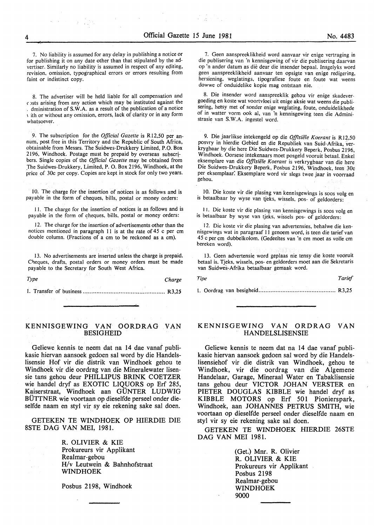7. No liability is assumed for any delay in publishing a notice or for publishing it on any date other than that stipulated by the advertiser. Similarly no liability is assumed in respect of any editing, revision, omission, typographical errors or errors resulting from faint or indistinct copy.

8. The advertiser will be held liable for all compensation and c osts arising from any action which may be instituted against the . dministration of S. W .A. as a result of the publication of a notice ' ith or without any omission, errors, lack of clarity or in any form whatsoever.

9. The subscription for the *Official Gazette* is RI2,50 per annum, post free in this Territory and the Republic of South Africa, obtainable from Messrs. The Suidwes-Drukkery Limited, P.O. Box 2196, Windhoek. Postage must be prepaid by overseas subscribers. Single copies of the *Official Gazette* may be obtained from .The Suidwes-Drukkery, Limited, P. 0. Box 2I96, Windhoek, at the price of 30c per copy. Copies are kept in stock for only two years.

10. The charge for the insertion of notices is as follows and is payable in the form of cheques, bills, postal or money orders:

II. The charge for the insertion of notices is as follows and is payable in the form of cheques, bills, postal or money orders:

12. The charge for the insertion of advertisements other than the notices mentioned in paragraph 11 is at the rate of  $45$  c per cm double column. (Fractions of a em to be reckoned as a em).

13. No advertisements are inserted unless the charge is prepaid. Cheques, drafts, postal orders or money orders must be made payable to the Secretary for South West Africa.

*Type Charge*  I. Transfer of business ................................................ R3,25

#### KENNISGEWING VAN OORDRAG VAN BESIGHEID

Geliewe kennis te neem dat na 14 dae vanaf publikasie hiervan aansoek gedoen sal word by die Handelslisensie Hof vir die distrik van Windhoek gehou te Windhoek vir die oordrag van die Mineralewater lisensie tans gehou deur PHILLIPUS BRINK COETZER wie handel dryf as EXOTIC LIQUORS op Erf 285, Kaiserstraat, Windhoek aan GUNTER LUDWIG BUTTNER wie voortaan op dieselfde perseel onder dieselfde naam en styl vir sy eie rekening sake sal doen.

GETEKEN TE WINDHOEK OP HIERDIE DIE 8STE DAG VAN MEl, 1981.

> R. OLIVIER & KIE Prokureurs vir Applikant Realmar-gebou H/v Leutwein & Bahnhofstraat WINDHOEK

Posbus 2198, Windhoek

7. Geen aanspreeklikheid word aanvaar vir enige vertraging in die publisering van 'n kennisgewing of vir die publisering daarvan op 'n ander datum as die deur die insender bepaal. Insgelyks word geen aanspreeklikheid aanvaar ten opsigte van enige redigering, hersiening, weglatings, tipografiese foute en foute wat weens dowwe of onduidelike kopie mag ontstaan nie.

8. Die insender word aanspreeklik gehou vir enige skadevergoeding en koste wat voortvloei uit enige aksie wat weens die publisering, hetsy met of sonder enige weglating, foute, onduidelikhede of in watter vorm ook al, van 'n kennisgewing teen die Administrasie van S.W.A. ingestel word.

9. Die jaarlikse intekengeld op die Offisiële Koerant is R12,50 posvry in hierdie Gebied en die Republiek van Suid-Afrika, verkrygbaar by die here Die Suidwes-Drukkery Beperk, Posbus 2I96, Windhoek. Oorsese intekenaars moet posgeld vooruit betaal. Enkel eksemplare van die Offisiële Koerant is verkrygbaar van die here Die Suidwes-Drukkery Beperk, Posbus 2I96, Windhoek, teen 30c per eksemplaar. Eksemplare word vir slegs twee jaar in voorraad gehou.

. 10. Die koste vir die plasing van kennisgewings is soos volg en is betaalbaar by wyse van tjeks, wissels, pos- of geldorders:

I I. Die koste vir die plasing van kennisgewings is soos volg en is betaalbaar by wyse van tjeks, wissels pos- of geldorders:

I2. Die koste vir die plasing van advertensies, behalwe die kennisgewings wat in paragraaf 11 genoem word, is teen die tarief van 45 c per em dubbelkolom. (Gedeeltes van 'n em moet as volle em bereken word).

I3. Geen advertensie word geplaas nie tensy die koste vooruit betaal is. Tjeks, wissels, pos- en geldorders moet aan die Sekretaris van Suidwes-Afrika betaalbaar gemaak word.

l. Oordrag van besigheid ............................................. R3,25

#### KENNISGEWING VAN ORDRAG VAN HANDELSLISENSIE

Geliewe kennis te neem dat na 14 dae vanaf publikasie hiervan aansoek gedoen sal word by die Handelslisensiehof vir die distrik van Windhoek, gehou te Windhoek, vir die oordrag van die Algemene Handelaar, Garage, Mineraal Water en Tabaklisensie tans gehou deur VICTOR JOHAN VERSTER en PIETER DOUGLAS KIBBLE wie handel dryf as KIBBLE MOTORS op Erf 501 Pionierspark, Windhoek, aan JOHANNES PETRUS SMITH, wie voortaan op dieselfde perseel onder dieselfde naam en styl vir sy eie rekening sake sal doen.

GETEKEN TE WINDHOEK HIERDIE 26STE DAG VAN MEl 1981.

> (Get.) Mnr. R. Olivier R. OLIVIER & KIE Prokureurs vir Applikant Posbus 2198 Realmar-gebou WINDHOEK 9000

*Tipe Tarief*